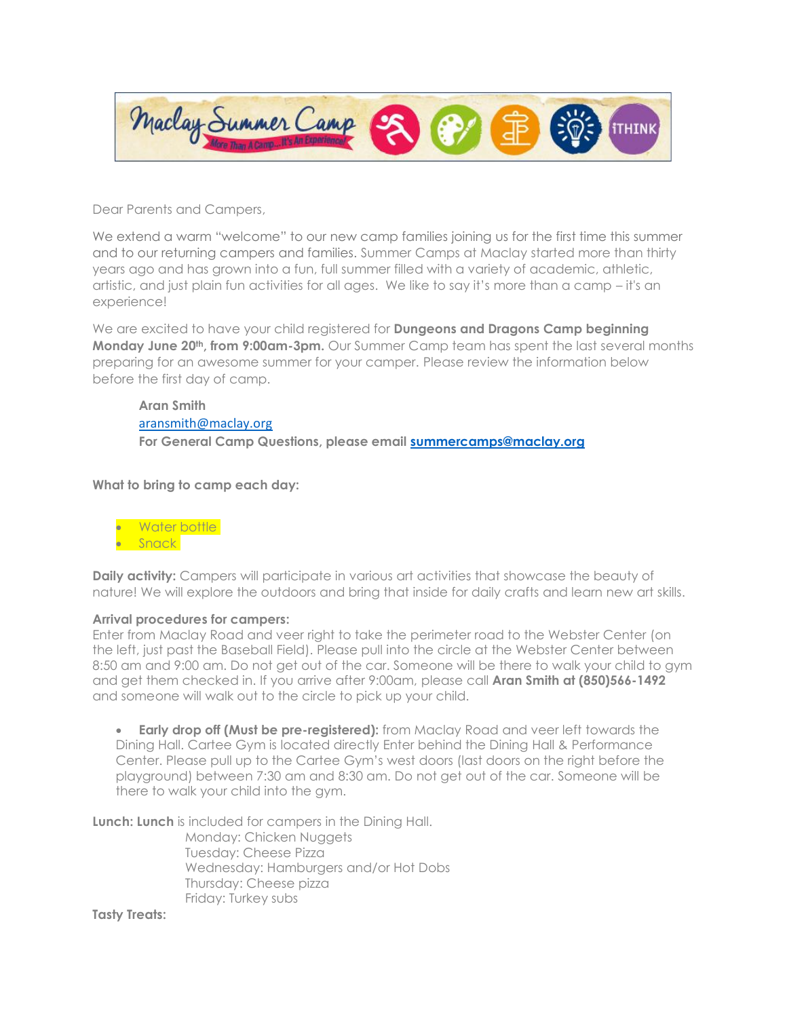

Dear Parents and Campers,

We extend a warm "welcome" to our new camp families joining us for the first time this summer and to our returning campers and families. Summer Camps at Maclay started more than thirty years ago and has grown into a fun, full summer filled with a variety of academic, athletic, artistic, and just plain fun activities for all ages. We like to say it's more than a camp – it's an experience!

We are excited to have your child registered for **Dungeons and Dragons Camp beginning Monday June 20th, from 9:00am-3pm.** Our Summer Camp team has spent the last several months preparing for an awesome summer for your camper. Please review the information below before the first day of camp.

## **Aran Smith** [aransmith@maclay.org](mailto:aransmith@maclay.org) **For General Camp Questions, please email [summercamps@maclay.org](mailto:summercamps@maclay.org)**

**What to bring to camp each day:**



**Daily activity:** Campers will participate in various art activities that showcase the beauty of nature! We will explore the outdoors and bring that inside for daily crafts and learn new art skills.

## **Arrival procedures for campers:**

Enter from Maclay Road and veer right to take the perimeter road to the Webster Center (on the left, just past the Baseball Field). Please pull into the circle at the Webster Center between 8:50 am and 9:00 am. Do not get out of the car. Someone will be there to walk your child to gym and get them checked in. If you arrive after 9:00am, please call **Aran Smith at (850)566-1492** and someone will walk out to the circle to pick up your child.

**Early drop off (Must be pre-registered):** from Maclay Road and veer left towards the Dining Hall. Cartee Gym is located directly Enter behind the Dining Hall & Performance Center. Please pull up to the Cartee Gym's west doors (last doors on the right before the playground) between 7:30 am and 8:30 am. Do not get out of the car. Someone will be there to walk your child into the gym.

**Lunch: Lunch** is included for campers in the Dining Hall.

Monday: Chicken Nuggets Tuesday: Cheese Pizza Wednesday: Hamburgers and/or Hot Dobs Thursday: Cheese pizza Friday: Turkey subs

**Tasty Treats:**